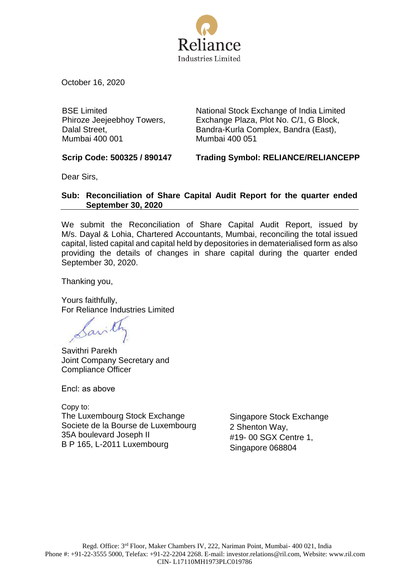

October 16, 2020

BSE Limited Phiroze Jeejeebhoy Towers, Dalal Street, Mumbai 400 001

National Stock Exchange of India Limited Exchange Plaza, Plot No. C/1, G Block, Bandra-Kurla Complex, Bandra (East), Mumbai 400 051

**Scrip Code: 500325 / 890147 Trading Symbol: RELIANCE/RELIANCEPP**

Dear Sirs,

## **Sub: Reconciliation of Share Capital Audit Report for the quarter ended September 30, 2020**

We submit the Reconciliation of Share Capital Audit Report, issued by M/s. Dayal & Lohia, Chartered Accountants, Mumbai, reconciling the total issued capital, listed capital and capital held by depositories in dematerialised form as also providing the details of changes in share capital during the quarter ended September 30, 2020.

Thanking you,

Yours faithfully, For Reliance Industries Limited

Savil

Savithri Parekh Joint Company Secretary and Compliance Officer

Encl: as above

Copy to: The Luxembourg Stock Exchange Societe de la Bourse de Luxembourg 35A boulevard Joseph II B P 165, L-2011 Luxembourg

Singapore Stock Exchange 2 Shenton Way, #19- 00 SGX Centre 1, Singapore 068804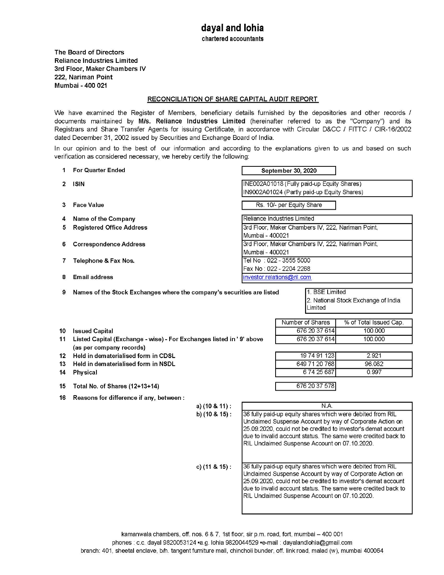chartered accountants

The Board of Directors **Reliance Industries Limited** 3rd Floor, Maker Chambers IV 222, Nariman Point Mumbai - 400 021

### RECONCILIATION OF SHARE CAPITAL AUDIT REPORT

We have examined the Register of Members, beneficiary details furnished by the depositories and other records / documents maintained by M/s. Reliance Industries Limited (hereinafter referred to as the "Company") and its Registrars and Share Transfer Agents for issuing Certificate, in accordance with Circular D&CC / FITTC / CIR-16/2002 dated December 31, 2002 issued by Securities and Exchange Board of India.

In our opinion and to the best of our information and according to the explanations given to us and based on such verification as considered necessary, we hereby certify the following:

| 1              | <b>For Quarter Ended</b>                                                                                           |                                                                                                                                            |                                                                                                                                                                                                                                                                                                           | September 30, 2020                            |                    |                                                                                                                                                                                                                                                          |  |
|----------------|--------------------------------------------------------------------------------------------------------------------|--------------------------------------------------------------------------------------------------------------------------------------------|-----------------------------------------------------------------------------------------------------------------------------------------------------------------------------------------------------------------------------------------------------------------------------------------------------------|-----------------------------------------------|--------------------|----------------------------------------------------------------------------------------------------------------------------------------------------------------------------------------------------------------------------------------------------------|--|
| $\overline{2}$ | <b>ISIN</b>                                                                                                        |                                                                                                                                            | INE002A01018 (Fully paid-up Equity Shares)<br>IN9002A01024 (Partly paid-up Equity Shares)                                                                                                                                                                                                                 |                                               |                    |                                                                                                                                                                                                                                                          |  |
| 3              | <b>Face Value</b>                                                                                                  |                                                                                                                                            |                                                                                                                                                                                                                                                                                                           | Rs. 10/- per Equity Share                     |                    |                                                                                                                                                                                                                                                          |  |
| 4              | Name of the Company                                                                                                | Reliance Industries Limited                                                                                                                |                                                                                                                                                                                                                                                                                                           |                                               |                    |                                                                                                                                                                                                                                                          |  |
| 5.             | <b>Registered Office Address</b>                                                                                   |                                                                                                                                            | 3rd Floor, Maker Chambers IV, 222, Nariman Point,<br>Mumbai - 400021                                                                                                                                                                                                                                      |                                               |                    |                                                                                                                                                                                                                                                          |  |
| 6              | <b>Correspondence Address</b>                                                                                      |                                                                                                                                            | 3rd Floor, Maker Chambers IV, 222, Nariman Point,<br>Mumbai - 400021                                                                                                                                                                                                                                      |                                               |                    |                                                                                                                                                                                                                                                          |  |
| 7              | Telephone & Fax Nos.                                                                                               |                                                                                                                                            | Tel No : 022 - 3555 5000                                                                                                                                                                                                                                                                                  |                                               |                    |                                                                                                                                                                                                                                                          |  |
| 8              | <b>Email address</b>                                                                                               |                                                                                                                                            | Fax No: 022 - 2204 2268<br>investor.relations@ril.com                                                                                                                                                                                                                                                     |                                               |                    |                                                                                                                                                                                                                                                          |  |
|                |                                                                                                                    |                                                                                                                                            |                                                                                                                                                                                                                                                                                                           |                                               |                    |                                                                                                                                                                                                                                                          |  |
| 9              |                                                                                                                    | 1. BSE Limited<br>Names of the Stock Exchanges where the company's securities are listed<br>2. National Stock Exchange of India<br>Limited |                                                                                                                                                                                                                                                                                                           |                                               |                    |                                                                                                                                                                                                                                                          |  |
|                |                                                                                                                    |                                                                                                                                            |                                                                                                                                                                                                                                                                                                           | Number of Shares                              |                    | % of Total Issued Cap.                                                                                                                                                                                                                                   |  |
| 10<br>11       | <b>Issued Capital</b><br>Listed Capital (Exchange - wise) - For Exchanges listed in '9' above                      |                                                                                                                                            | 676 20 37 614<br>676 20 37 614                                                                                                                                                                                                                                                                            |                                               | 100.000<br>100.000 |                                                                                                                                                                                                                                                          |  |
| 12<br>13<br>14 | (as per company records)<br>Held in dematerialised form in CDSL<br>Held in dematerialised form in NSDL<br>Physical |                                                                                                                                            |                                                                                                                                                                                                                                                                                                           | 19 74 91 123<br>649 71 20 768                 | 67425687           | 2.921<br>96.082<br>0.997                                                                                                                                                                                                                                 |  |
| 15             | Total No. of Shares (12+13+14)                                                                                     |                                                                                                                                            |                                                                                                                                                                                                                                                                                                           | 676 20 37 578                                 |                    |                                                                                                                                                                                                                                                          |  |
| 16             | Reasons for difference if any, between :                                                                           |                                                                                                                                            |                                                                                                                                                                                                                                                                                                           |                                               |                    |                                                                                                                                                                                                                                                          |  |
|                |                                                                                                                    | a) (10 & 11) :                                                                                                                             |                                                                                                                                                                                                                                                                                                           |                                               | N.A.               |                                                                                                                                                                                                                                                          |  |
|                |                                                                                                                    | b) (10 & 15):                                                                                                                              | 36 fully paid-up equity shares which were debited from RIL<br>Unclaimed Suspense Account by way of Corporate Action on<br>25.09.2020, could not be credited to investor's demat account<br>due to invalid account status. The same were credited back to<br>RIL Unclaimed Suspense Account on 07.10.2020. |                                               |                    |                                                                                                                                                                                                                                                          |  |
|                |                                                                                                                    | c) $(11 & 8 & 15)$ :                                                                                                                       |                                                                                                                                                                                                                                                                                                           | RIL Unclaimed Suspense Account on 07.10.2020. |                    | 36 fully paid-up equity shares which were debited from RIL<br>Unclaimed Suspense Account by way of Corporate Action on<br>25.09.2020, could not be credited to investor's demat account<br>due to invalid account status. The same were credited back to |  |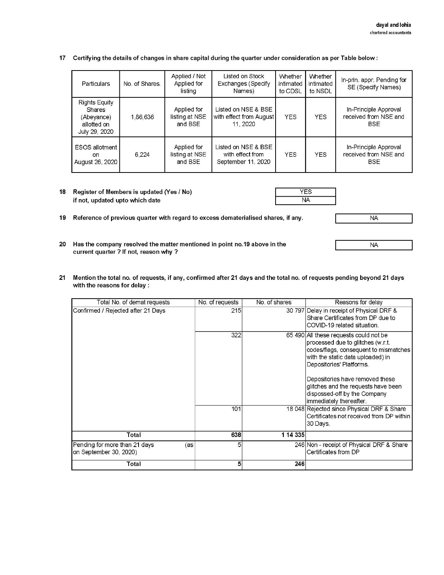17 Certifying the details of changes in share capital during the quarter under consideration as per Table below:

| Particulars                                                                         | No. of Shares. | Applied / Not<br>Applied for<br>listing  | Listed on Stock<br>Exchanges (Specify<br>Names)               | Whether<br>intimated<br>to CDSL | <b>Whether</b><br>intimated<br>to NSDL | In-prin. appr. Pending for<br>SE (Specify Names)             |
|-------------------------------------------------------------------------------------|----------------|------------------------------------------|---------------------------------------------------------------|---------------------------------|----------------------------------------|--------------------------------------------------------------|
| <b>Rights Equity</b><br><b>Shares</b><br>(Abeyance)<br>allotted on<br>July 29, 2020 | 1,86,636       | Applied for<br>listing at NSE<br>and BSE | Listed on NSE & BSE<br>with effect from August<br>11, 2020    | <b>YES</b>                      | <b>YES</b>                             | In-Principle Approval<br>received from NSE and<br><b>BSE</b> |
| ESOS allotment<br><sub>on</sub><br>August 26, 2020                                  | 6.224          | Applied for<br>listing at NSE<br>and BSE | Listed on NSE & BSE<br>with effect from<br>September 11, 2020 | <b>YES</b>                      | <b>YES</b>                             | In-Principle Approval<br>received from NSE and<br><b>BSE</b> |

Register of Members is updated (Yes / No)  $18$ if not, updated upto which date

**YES NA** 

 $NA$ 

**NA** 

20 Has the company resolved the matter mentioned in point no. 19 above in the current quarter ? If not, reason why ?

19 Reference of previous quarter with regard to excess dematerialised shares, if any.

Mention the total no. of requests, if any, confirmed after 21 days and the total no. of requests pending beyond 21 days  $21$ with the reasons for delay :

| Total No. of demat requests                                    | No. of requests | No. of shares | Reasons for delay                                                                                                                                                                                                                                                                                                          |
|----------------------------------------------------------------|-----------------|---------------|----------------------------------------------------------------------------------------------------------------------------------------------------------------------------------------------------------------------------------------------------------------------------------------------------------------------------|
| Confirmed / Rejected after 21 Days                             | 215             |               | 30 797 Delay in receipt of Physical DRF &<br>Share Certificates from DP due to<br>COVID-19 related situation.                                                                                                                                                                                                              |
|                                                                | 322             |               | 65 490 All these requests could not be<br>processed due to glitches (w.r.t.<br>codes/flags, consequent to mismatches<br>with the static data uploaded) in<br>Depositories' Platforms.<br>Depositories have removed these<br>glitches and the requests have been<br>dispossed-off by the Company<br>immediately thereafter. |
|                                                                | 101             |               | 18 048 Rejected since Physical DRF & Share<br>Certificates not received from DP within<br>30 Days.                                                                                                                                                                                                                         |
| Total                                                          | 638             | 1 14 3 35     |                                                                                                                                                                                                                                                                                                                            |
| Pending for more than 21 days<br>(as<br>on September 30, 2020) | 5               |               | 246 Non - receipt of Physical DRF & Share<br>Certificates from DP                                                                                                                                                                                                                                                          |
| Total                                                          | 5               | 246           |                                                                                                                                                                                                                                                                                                                            |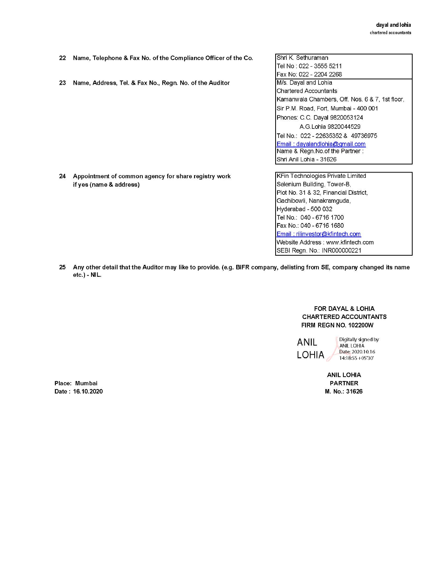- 22 Name, Telephone & Fax No. of the Compliance Officer of the Co.
- 23 Name, Address, Tel. & Fax No., Regn. No. of the Auditor

24 Appointment of common agency for share registry work

if yes (name & address)

Shri K. Sethuraman Tel No: 022 - 3555 5211 Fax No: 022 - 2204 2268 M/s. Dayal and Lohia **Chartered Accountants** Kamanwala Chambers, Off. Nos. 6 & 7, 1st floor, Sir P.M. Road, Fort, Mumbai - 400 001 Phones: C.C. Dayal 9820053124 A.G.Lohia 9820044529 Tel No.: 022 - 22635352 & 49736975 Email: dayalandlohia@gmail.com Name & Regn. No. of the Partner: Shri Anil Lohia - 31626

KFin Technologies Private Limited Selenium Building, Tower-B, Plot No. 31 & 32, Financial District, Gachibowli, Nanakramguda, Hyderabad - 500 032 Tel No.: 040 - 6716 1700 Fax No.: 040 - 6716 1680 Email: rilinvestor@kfintech.com Website Address: www.kfintech.com SEBI Regn. No.: INR000000221

25 Any other detail that the Auditor may like to provide. (e.g. BIFR company, delisting from SE, company changed its name etc.) - NIL.

> FOR DAYAL & LOHIA **CHARTERED ACCOUNTANTS** FIRM REGN NO. 102200W

**ANIL**  $LOHIA$  Digitally signed by ANIL LOHIA Date: 2020.10.16  $14:18:55 + 05'30'$ 

**ANIL LOHIA PARTNER** M. No.: 31626

Place: Mumbai Date: 16.10.2020